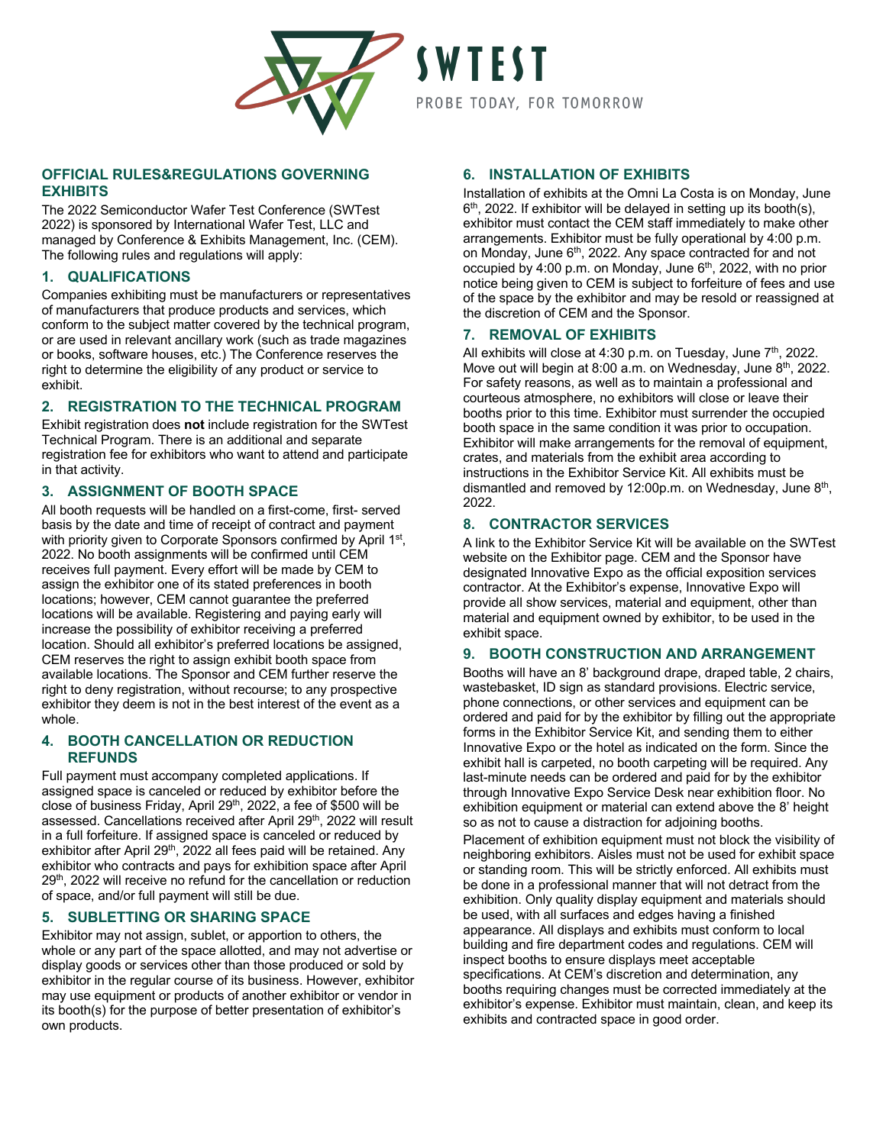

# **SWTEST** PROBE TODAY, FOR TOMORROW

## **OFFICIAL RULES&REGULATIONS GOVERNING EXHIBITS**

The 2022 Semiconductor Wafer Test Conference (SWTest 2022) is sponsored by International Wafer Test, LLC and managed by Conference & Exhibits Management, Inc. (CEM). The following rules and regulations will apply:

## **1. QUALIFICATIONS**

Companies exhibiting must be manufacturers or representatives of manufacturers that produce products and services, which conform to the subject matter covered by the technical program, or are used in relevant ancillary work (such as trade magazines or books, software houses, etc.) The Conference reserves the right to determine the eligibility of any product or service to exhibit.

# **2. REGISTRATION TO THE TECHNICAL PROGRAM**

Exhibit registration does **not** include registration for the SWTest Technical Program. There is an additional and separate registration fee for exhibitors who want to attend and participate in that activity.

# **3. ASSIGNMENT OF BOOTH SPACE**

All booth requests will be handled on a first-come, first- served basis by the date and time of receipt of contract and payment with priority given to Corporate Sponsors confirmed by April 1st, 2022. No booth assignments will be confirmed until CEM receives full payment. Every effort will be made by CEM to assign the exhibitor one of its stated preferences in booth locations; however, CEM cannot guarantee the preferred locations will be available. Registering and paying early will increase the possibility of exhibitor receiving a preferred location. Should all exhibitor's preferred locations be assigned, CEM reserves the right to assign exhibit booth space from available locations. The Sponsor and CEM further reserve the right to deny registration, without recourse; to any prospective exhibitor they deem is not in the best interest of the event as a whole.

## **4. BOOTH CANCELLATION OR REDUCTION REFUNDS**

Full payment must accompany completed applications. If assigned space is canceled or reduced by exhibitor before the close of business Friday, April 29<sup>th</sup>, 2022, a fee of \$500 will be assessed. Cancellations received after April 29th, 2022 will result in a full forfeiture. If assigned space is canceled or reduced by exhibitor after April 29<sup>th</sup>, 2022 all fees paid will be retained. Any exhibitor who contracts and pays for exhibition space after April 29<sup>th</sup>, 2022 will receive no refund for the cancellation or reduction of space, and/or full payment will still be due.

# **5. SUBLETTING OR SHARING SPACE**

Exhibitor may not assign, sublet, or apportion to others, the whole or any part of the space allotted, and may not advertise or display goods or services other than those produced or sold by exhibitor in the regular course of its business. However, exhibitor may use equipment or products of another exhibitor or vendor in its booth(s) for the purpose of better presentation of exhibitor's own products.

# **6. INSTALLATION OF EXHIBITS**

Installation of exhibits at the Omni La Costa is on Monday, June  $6<sup>th</sup>$ , 2022. If exhibitor will be delayed in setting up its booth(s), exhibitor must contact the CEM staff immediately to make other arrangements. Exhibitor must be fully operational by 4:00 p.m. on Monday, June 6<sup>th</sup>, 2022. Any space contracted for and not occupied by 4:00 p.m. on Monday, June 6<sup>th</sup>, 2022, with no prior notice being given to CEM is subject to forfeiture of fees and use of the space by the exhibitor and may be resold or reassigned at the discretion of CEM and the Sponsor.

# **7. REMOVAL OF EXHIBITS**

All exhibits will close at 4:30 p.m. on Tuesday, June  $7<sup>th</sup>$ , 2022. Move out will begin at 8:00 a.m. on Wednesday, June 8<sup>th</sup>, 2022. For safety reasons, as well as to maintain a professional and courteous atmosphere, no exhibitors will close or leave their booths prior to this time. Exhibitor must surrender the occupied booth space in the same condition it was prior to occupation. Exhibitor will make arrangements for the removal of equipment. crates, and materials from the exhibit area according to instructions in the Exhibitor Service Kit. All exhibits must be dismantled and removed by 12:00p.m. on Wednesday, June 8<sup>th</sup>, 2022.

# **8. CONTRACTOR SERVICES**

A link to the Exhibitor Service Kit will be available on the SWTest website on the Exhibitor page. CEM and the Sponsor have designated Innovative Expo as the official exposition services contractor. At the Exhibitor's expense, Innovative Expo will provide all show services, material and equipment, other than material and equipment owned by exhibitor, to be used in the exhibit space.

## **9. BOOTH CONSTRUCTION AND ARRANGEMENT**

Booths will have an 8' background drape, draped table, 2 chairs, wastebasket, ID sign as standard provisions. Electric service, phone connections, or other services and equipment can be ordered and paid for by the exhibitor by filling out the appropriate forms in the Exhibitor Service Kit, and sending them to either Innovative Expo or the hotel as indicated on the form. Since the exhibit hall is carpeted, no booth carpeting will be required. Any last-minute needs can be ordered and paid for by the exhibitor through Innovative Expo Service Desk near exhibition floor. No exhibition equipment or material can extend above the 8' height so as not to cause a distraction for adjoining booths.

Placement of exhibition equipment must not block the visibility of neighboring exhibitors. Aisles must not be used for exhibit space or standing room. This will be strictly enforced. All exhibits must be done in a professional manner that will not detract from the exhibition. Only quality display equipment and materials should be used, with all surfaces and edges having a finished appearance. All displays and exhibits must conform to local building and fire department codes and regulations. CEM will inspect booths to ensure displays meet acceptable specifications. At CEM's discretion and determination, any booths requiring changes must be corrected immediately at the exhibitor's expense. Exhibitor must maintain, clean, and keep its exhibits and contracted space in good order.